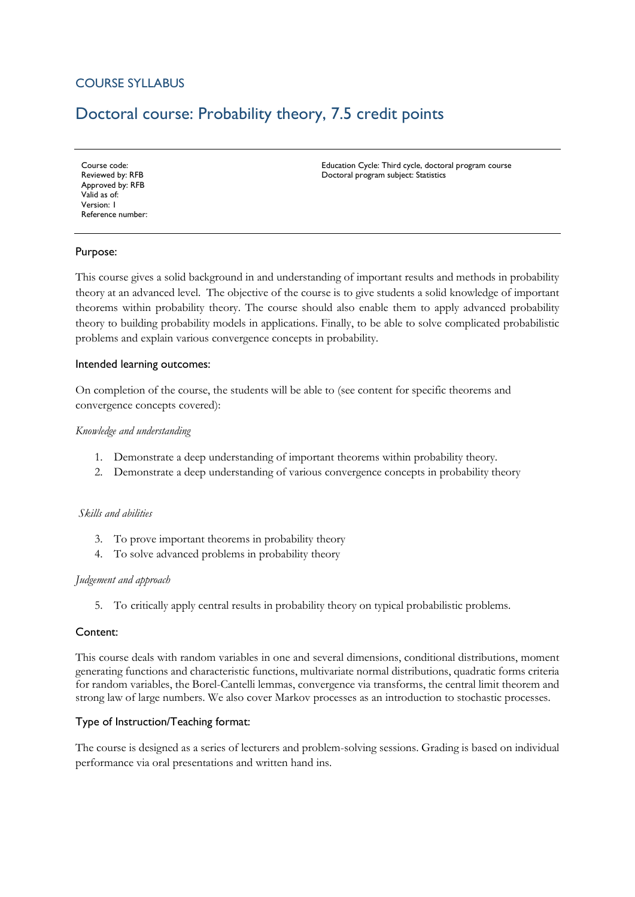## COURSE SYLLABUS

# Doctoral course: Probability theory, 7.5 credit points

Course code: Reviewed by: RFB Approved by: RFB Valid as of: Version: 1 Reference number: Education Cycle: Third cycle, doctoral program course Doctoral program subject: Statistics

## Purpose:

This course gives a solid background in and understanding of important results and methods in probability theory at an advanced level. The objective of the course is to give students a solid knowledge of important theorems within probability theory. The course should also enable them to apply advanced probability theory to building probability models in applications. Finally, to be able to solve complicated probabilistic problems and explain various convergence concepts in probability.

#### Intended learning outcomes:

On completion of the course, the students will be able to (see content for specific theorems and convergence concepts covered):

#### *Knowledge and understanding*

- 1. Demonstrate a deep understanding of important theorems within probability theory.
- 2. Demonstrate a deep understanding of various convergence concepts in probability theory

#### *Skills and abilities*

- 3. To prove important theorems in probability theory
- 4. To solve advanced problems in probability theory

#### *Judgement and approach*

5. To critically apply central results in probability theory on typical probabilistic problems.

#### Content:

This course deals with random variables in one and several dimensions, conditional distributions, moment generating functions and characteristic functions, multivariate normal distributions, quadratic forms criteria for random variables, the Borel-Cantelli lemmas, convergence via transforms, the central limit theorem and strong law of large numbers. We also cover Markov processes as an introduction to stochastic processes.

#### Type of Instruction/Teaching format:

The course is designed as a series of lecturers and problem-solving sessions. Grading is based on individual performance via oral presentations and written hand ins.